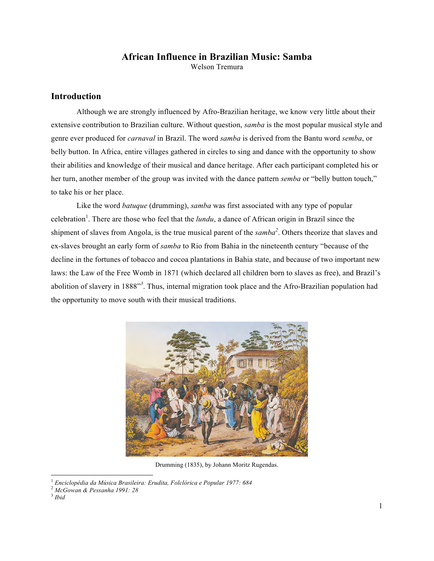# **African Influence in Brazilian Music: Samba**

Welson Tremura

## **Introduction**

Although we are strongly influenced by Afro-Brazilian heritage, we know very little about their extensive contribution to Brazilian culture. Without question, *samba* is the most popular musical style and genre ever produced for *carnaval* in Brazil. The word *samba* is derived from the Bantu word *semba*, or belly button. In Africa, entire villages gathered in circles to sing and dance with the opportunity to show their abilities and knowledge of their musical and dance heritage. After each participant completed his or her turn, another member of the group was invited with the dance pattern *semba* or "belly button touch," to take his or her place.

Like the word *batuque* (drumming), *samba* was first associated with any type of popular celebration<sup>1</sup>. There are those who feel that the *lundu*, a dance of African origin in Brazil since the shipment of slaves from Angola, is the true musical parent of the *samba<sup>2</sup>* . Others theorize that slaves and ex-slaves brought an early form of *samba* to Rio from Bahia in the nineteenth century "because of the decline in the fortunes of tobacco and cocoa plantations in Bahia state, and because of two important new laws: the Law of the Free Womb in 1871 (which declared all children born to slaves as free), and Brazil's abolition of slavery in 1888"*<sup>3</sup>* . Thus, internal migration took place and the Afro-Brazilian population had the opportunity to move south with their musical traditions.



Drumming (1835), by Johann Moritz Rugendas.

 <sup>1</sup> *Enciclopédia da Música Brasileira: Erudita, Folclórica e Popular 1977: 684*

<sup>2</sup> *McGowan & Pessanha 1991: 28*

<sup>3</sup> *Ibid*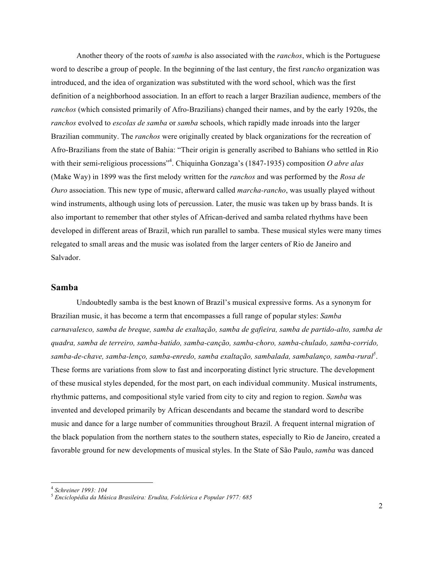Another theory of the roots of *samba* is also associated with the *ranchos*, which is the Portuguese word to describe a group of people. In the beginning of the last century, the first *rancho* organization was introduced, and the idea of organization was substituted with the word school, which was the first definition of a neighborhood association. In an effort to reach a larger Brazilian audience, members of the *ranchos* (which consisted primarily of Afro-Brazilians) changed their names, and by the early 1920s, the *ranchos* evolved to *escolas de samba* or *samba* schools, which rapidly made inroads into the larger Brazilian community. The *ranchos* were originally created by black organizations for the recreation of Afro-Brazilians from the state of Bahia: "Their origin is generally ascribed to Bahians who settled in Rio with their semi-religious processions<sup>34</sup>. Chiquinha Gonzaga's (1847-1935) composition *O abre alas* (Make Way) in 1899 was the first melody written for the *ranchos* and was performed by the *Rosa de Ouro* association. This new type of music, afterward called *marcha-rancho*, was usually played without wind instruments, although using lots of percussion. Later, the music was taken up by brass bands. It is also important to remember that other styles of African-derived and samba related rhythms have been developed in different areas of Brazil, which run parallel to samba. These musical styles were many times relegated to small areas and the music was isolated from the larger centers of Rio de Janeiro and Salvador.

#### **Samba**

Undoubtedly samba is the best known of Brazil's musical expressive forms. As a synonym for Brazilian music, it has become a term that encompasses a full range of popular styles: *Samba carnavalesco, samba de breque, samba de exaltação, samba de gafieira, samba de partido-alto, samba de quadra, samba de terreiro, samba-batido, samba-canção, samba-choro, samba-chulado, samba-corrido,*  samba-de-chave, samba-lenço, samba-enredo, samba exaltação, sambalada, sambalanço, samba-rural<sup>s</sup>. These forms are variations from slow to fast and incorporating distinct lyric structure. The development of these musical styles depended, for the most part, on each individual community. Musical instruments, rhythmic patterns, and compositional style varied from city to city and region to region. *Samba* was invented and developed primarily by African descendants and became the standard word to describe music and dance for a large number of communities throughout Brazil. A frequent internal migration of the black population from the northern states to the southern states, especially to Rio de Janeiro, created a favorable ground for new developments of musical styles. In the State of São Paulo, *samba* was danced

 <sup>4</sup> *Schreiner 1993: 104*

<sup>5</sup> *Enciclopédia da Música Brasileira: Erudita, Folclórica e Popular 1977: 685*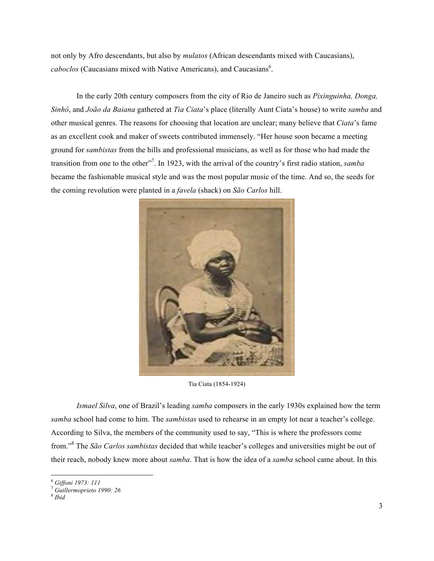not only by Afro descendants, but also by *mulatos* (African descendants mixed with Caucasians), caboclos (Caucasians mixed with Native Americans), and Caucasians<sup>6</sup>.

In the early 20th century composers from the city of Rio de Janeiro such as *Pixinguinha, Donga, Sinhô*, and *João da Baiana* gathered at *Tia Ciata*'s place (literally Aunt Ciata's house) to write *samba* and other musical genres. The reasons for choosing that location are unclear; many believe that *Ciata*'s fame as an excellent cook and maker of sweets contributed immensely. "Her house soon became a meeting ground for *sambistas* from the hills and professional musicians, as well as for those who had made the transition from one to the other<sup>17</sup>. In 1923, with the arrival of the country's first radio station, *samba* became the fashionable musical style and was the most popular music of the time. And so, the seeds for the coming revolution were planted in a *favela* (shack) on *São Carlos* hill.



Tia Ciata (1854-1924)

*Ismael Silva*, one of Brazil's leading *samba* composers in the early 1930s explained how the term *samba* school had come to him. The *sambistas* used to rehearse in an empty lot near a teacher's college. According to Silva, the members of the community used to say, "This is where the professors come from."<sup>8</sup> The *São Carlos sambistas* decided that while teacher's colleges and universities might be out of their reach, nobody knew more about *samba*. That is how the idea of a *samba* school came about. In this

 <sup>6</sup> *Giffoni 1973: 111*

<sup>7</sup> *Guillermoprieto 1990: 26*

<sup>8</sup> *Ibid*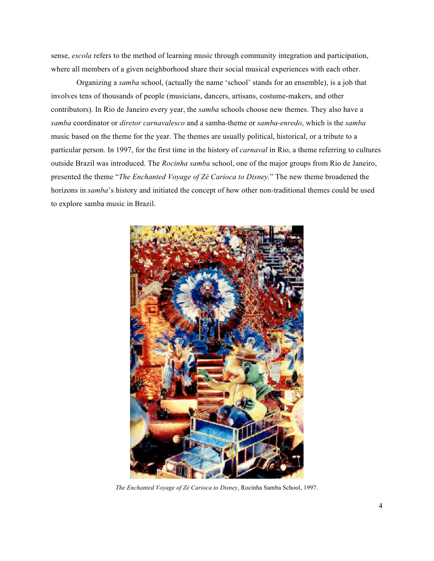sense, *escola* refers to the method of learning music through community integration and participation, where all members of a given neighborhood share their social musical experiences with each other.

Organizing a *samba* school, (actually the name 'school' stands for an ensemble), is a job that involves tens of thousands of people (musicians, dancers, artisans, costume-makers, and other contributors). In Rio de Janeiro every year, the *samba* schools choose new themes. They also have a *samba* coordinator or *diretor carnavalesco* and a samba-theme or *samba-enredo*, which is the *samba* music based on the theme for the year. The themes are usually political, historical, or a tribute to a particular person. In 1997, for the first time in the history of *carnaval* in Rio, a theme referring to cultures outside Brazil was introduced. The *Rocinha samba* school, one of the major groups from Rio de Janeiro, presented the theme "*The Enchanted Voyage of Zé Carioca to Disney.*" The new theme broadened the horizons in *samba*'s history and initiated the concept of how other non-traditional themes could be used to explore samba music in Brazil.



*The Enchanted Voyage of Zé Carioca to Disney*, Rocinha Samba School, 1997.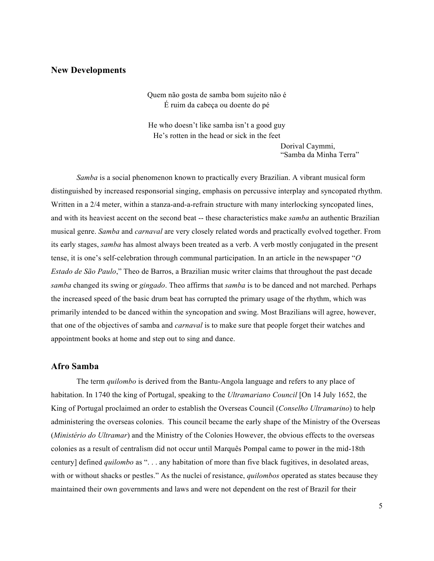### **New Developments**

Quem não gosta de samba bom sujeito não é É ruim da cabeça ou doente do pé

He who doesn't like samba isn't a good guy He's rotten in the head or sick in the feet

> Dorival Caymmi, "Samba da Minha Terra"

 *Samba* is a social phenomenon known to practically every Brazilian. A vibrant musical form distinguished by increased responsorial singing, emphasis on percussive interplay and syncopated rhythm. Written in a 2/4 meter, within a stanza-and-a-refrain structure with many interlocking syncopated lines, and with its heaviest accent on the second beat -- these characteristics make *samba* an authentic Brazilian musical genre. *Samba* and *carnaval* are very closely related words and practically evolved together. From its early stages, *samba* has almost always been treated as a verb. A verb mostly conjugated in the present tense, it is one's self-celebration through communal participation. In an article in the newspaper "*O Estado de São Paulo*," Theo de Barros, a Brazilian music writer claims that throughout the past decade *samba* changed its swing or *gingado*. Theo affirms that *samba* is to be danced and not marched. Perhaps the increased speed of the basic drum beat has corrupted the primary usage of the rhythm, which was primarily intended to be danced within the syncopation and swing. Most Brazilians will agree, however, that one of the objectives of samba and *carnaval* is to make sure that people forget their watches and appointment books at home and step out to sing and dance.

#### **Afro Samba**

The term *quilombo* is derived from the Bantu-Angola language and refers to any place of habitation. In 1740 the king of Portugal, speaking to the *Ultramariano Council* [On 14 July 1652, the King of Portugal proclaimed an order to establish the Overseas Council (*Conselho Ultramarino*) to help administering the overseas colonies. This council became the early shape of the Ministry of the Overseas (*Ministério do Ultramar*) and the Ministry of the Colonies However, the obvious effects to the overseas colonies as a result of centralism did not occur until Marquês Pompal came to power in the mid-18th century] defined *quilombo* as ". . . any habitation of more than five black fugitives, in desolated areas, with or without shacks or pestles." As the nuclei of resistance, *quilombos* operated as states because they maintained their own governments and laws and were not dependent on the rest of Brazil for their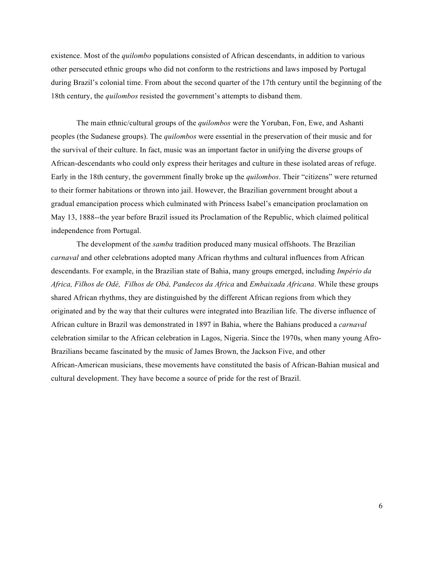existence. Most of the *quilombo* populations consisted of African descendants, in addition to various other persecuted ethnic groups who did not conform to the restrictions and laws imposed by Portugal during Brazil's colonial time. From about the second quarter of the 17th century until the beginning of the 18th century, the *quilombos* resisted the government's attempts to disband them.

The main ethnic/cultural groups of the *quilombos* were the Yoruban, Fon, Ewe, and Ashanti peoples (the Sudanese groups). The *quilombos* were essential in the preservation of their music and for the survival of their culture. In fact, music was an important factor in unifying the diverse groups of African-descendants who could only express their heritages and culture in these isolated areas of refuge. Early in the 18th century, the government finally broke up the *quilombos*. Their "citizens" were returned to their former habitations or thrown into jail. However, the Brazilian government brought about a gradual emancipation process which culminated with Princess Isabel's emancipation proclamation on May 13, 1888--the year before Brazil issued its Proclamation of the Republic, which claimed political independence from Portugal.

The development of the *samba* tradition produced many musical offshoots. The Brazilian *carnaval* and other celebrations adopted many African rhythms and cultural influences from African descendants. For example, in the Brazilian state of Bahia, many groups emerged, including *Império da Africa, Filhos de Odé, Filhos de Obá, Pandecos da Africa* and *Embaixada Africana*. While these groups shared African rhythms, they are distinguished by the different African regions from which they originated and by the way that their cultures were integrated into Brazilian life. The diverse influence of African culture in Brazil was demonstrated in 1897 in Bahia, where the Bahians produced a *carnaval* celebration similar to the African celebration in Lagos, Nigeria. Since the 1970s, when many young Afro-Brazilians became fascinated by the music of James Brown, the Jackson Five, and other African-American musicians, these movements have constituted the basis of African-Bahian musical and cultural development. They have become a source of pride for the rest of Brazil.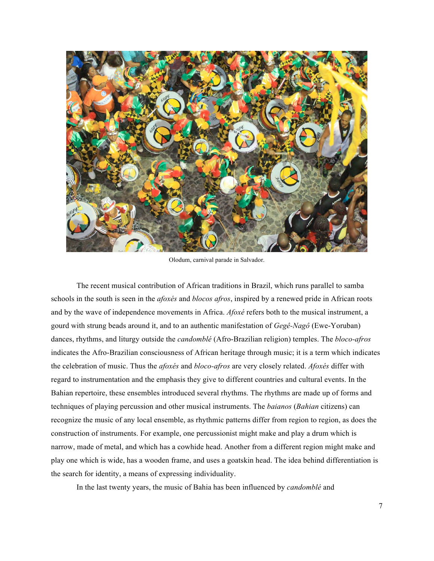

Olodum, carnival parade in Salvador.

The recent musical contribution of African traditions in Brazil, which runs parallel to samba schools in the south is seen in the *afoxés* and *blocos afros*, inspired by a renewed pride in African roots and by the wave of independence movements in Africa. *Afoxé* refers both to the musical instrument, a gourd with strung beads around it, and to an authentic manifestation of *Gegê-Nagô* (Ewe-Yoruban) dances, rhythms, and liturgy outside the *candomblé* (Afro-Brazilian religion) temples. The *bloco-afros* indicates the Afro-Brazilian consciousness of African heritage through music; it is a term which indicates the celebration of music. Thus the *afoxés* and *bloco-afros* are very closely related. *Afoxés* differ with regard to instrumentation and the emphasis they give to different countries and cultural events. In the Bahian repertoire, these ensembles introduced several rhythms. The rhythms are made up of forms and techniques of playing percussion and other musical instruments. The *baianos* (*Bahian* citizens) can recognize the music of any local ensemble, as rhythmic patterns differ from region to region, as does the construction of instruments. For example, one percussionist might make and play a drum which is narrow, made of metal, and which has a cowhide head. Another from a different region might make and play one which is wide, has a wooden frame, and uses a goatskin head. The idea behind differentiation is the search for identity, a means of expressing individuality.

In the last twenty years, the music of Bahia has been influenced by *candomblé* and